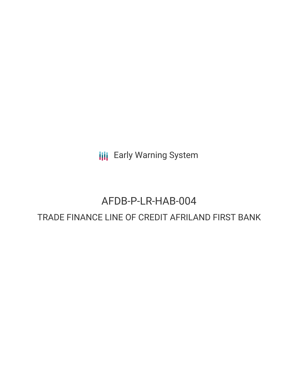**III** Early Warning System

# AFDB-P-LR-HAB-004 TRADE FINANCE LINE OF CREDIT AFRILAND FIRST BANK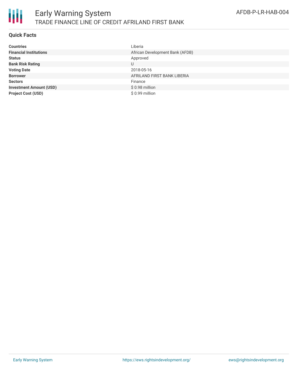

### **Quick Facts**

| <b>Countries</b>               | Liberia                         |
|--------------------------------|---------------------------------|
| <b>Financial Institutions</b>  | African Development Bank (AFDB) |
| <b>Status</b>                  | Approved                        |
| <b>Bank Risk Rating</b>        | U                               |
| <b>Voting Date</b>             | 2018-05-16                      |
| <b>Borrower</b>                | AFRILAND FIRST BANK LIBERIA     |
| <b>Sectors</b>                 | Finance                         |
| <b>Investment Amount (USD)</b> | \$0.98 million                  |
| <b>Project Cost (USD)</b>      | $$0.99$ million                 |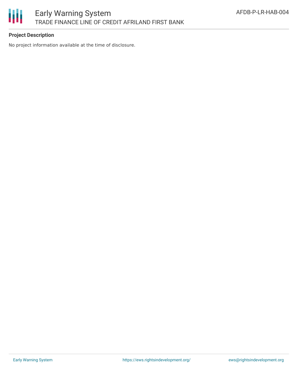

## **Project Description**

No project information available at the time of disclosure.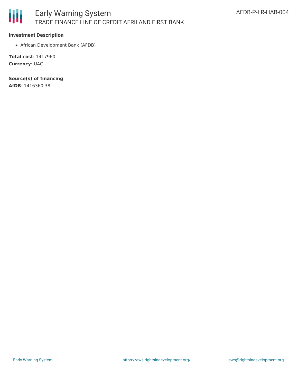

#### **Investment Description**

African Development Bank (AFDB)

**Total cost**: 1417960 **Currency**: UAC

**Source(s) of financing**

**AfDB**: 1416360.38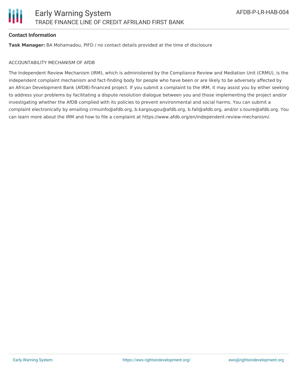

#### **Contact Information**

**Task Manager:** BA Mohamadou, PIFD / no contact details provided at the time of disclosure

#### ACCOUNTABILITY MECHANISM OF AfDB

The Independent Review Mechanism (IRM), which is administered by the Compliance Review and Mediation Unit (CRMU), is the independent complaint mechanism and fact-finding body for people who have been or are likely to be adversely affected by an African Development Bank (AfDB)-financed project. If you submit a complaint to the IRM, it may assist you by either seeking to address your problems by facilitating a dispute resolution dialogue between you and those implementing the project and/or investigating whether the AfDB complied with its policies to prevent environmental and social harms. You can submit a complaint electronically by emailing crmuinfo@afdb.org, b.kargougou@afdb.org, b.fall@afdb.org, and/or s.toure@afdb.org. You can learn more about the IRM and how to file a complaint at https://www.afdb.org/en/independent-review-mechanism/.